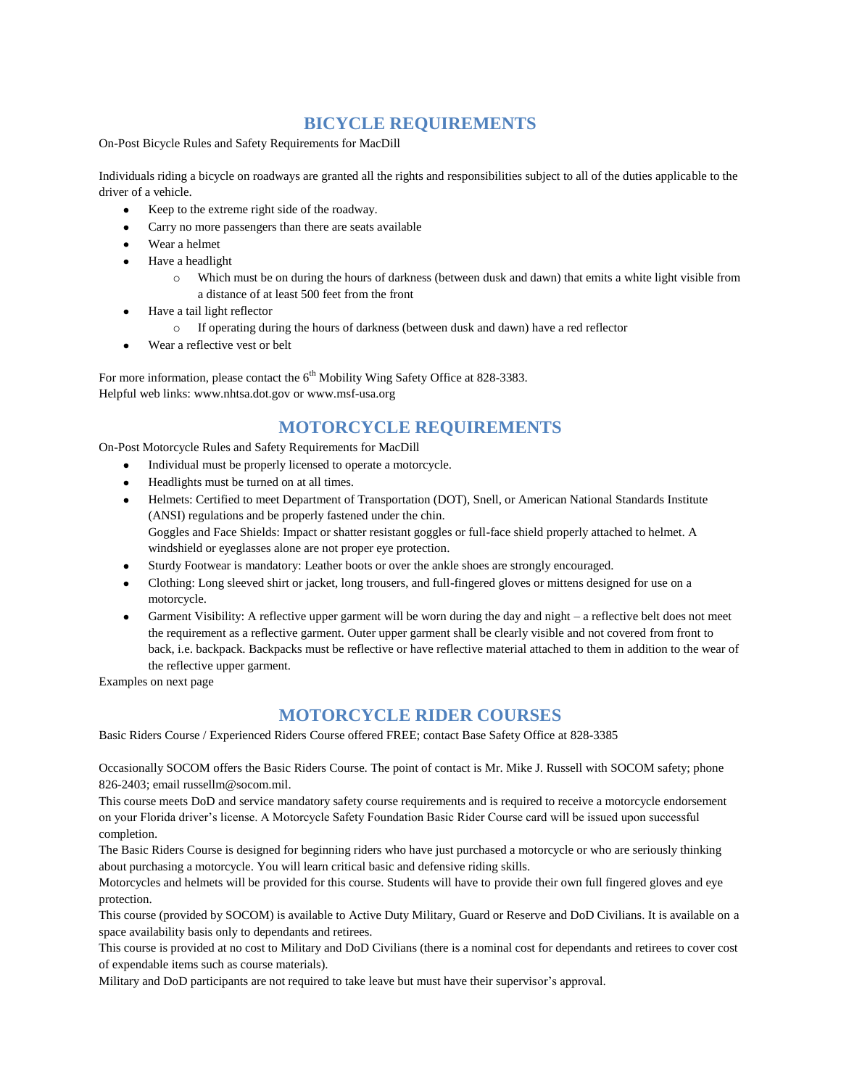# **BICYCLE REQUIREMENTS**

On-Post Bicycle Rules and Safety Requirements for MacDill

Individuals riding a bicycle on roadways are granted all the rights and responsibilities subject to all of the duties applicable to the driver of a vehicle.

- Keep to the extreme right side of the roadway.
- Carry no more passengers than there are seats available
- Wear a helmet
- Have a headlight
	- o Which must be on during the hours of darkness (between dusk and dawn) that emits a white light visible from a distance of at least 500 feet from the front
- Have a tail light reflector
	- o If operating during the hours of darkness (between dusk and dawn) have a red reflector
- Wear a reflective vest or belt

For more information, please contact the  $6<sup>th</sup>$  Mobility Wing Safety Office at 828-3383. Helpful web links: www.nhtsa.dot.gov or www.msf-usa.org

## **MOTORCYCLE REQUIREMENTS**

On-Post Motorcycle Rules and Safety Requirements for MacDill

- Individual must be properly licensed to operate a motorcycle.  $\bullet$
- Headlights must be turned on at all times.
- Helmets: Certified to meet Department of Transportation (DOT), Snell, or American National Standards Institute (ANSI) regulations and be properly fastened under the chin. Goggles and Face Shields: Impact or shatter resistant goggles or full-face shield properly attached to helmet. A windshield or eyeglasses alone are not proper eye protection.
- Sturdy Footwear is mandatory: Leather boots or over the ankle shoes are strongly encouraged.
- Clothing: Long sleeved shirt or jacket, long trousers, and full-fingered gloves or mittens designed for use on a motorcycle.
- Garment Visibility: A reflective upper garment will be worn during the day and night a reflective belt does not meet the requirement as a reflective garment. Outer upper garment shall be clearly visible and not covered from front to back, i.e. backpack. Backpacks must be reflective or have reflective material attached to them in addition to the wear of the reflective upper garment.

Examples on next page

### **MOTORCYCLE RIDER COURSES**

Basic Riders Course / Experienced Riders Course offered FREE; contact Base Safety Office at 828-3385

Occasionally SOCOM offers the Basic Riders Course. The point of contact is Mr. Mike J. Russell with SOCOM safety; phone 826-2403; email russellm@socom.mil.

This course meets DoD and service mandatory safety course requirements and is required to receive a motorcycle endorsement on your Florida driver's license. A Motorcycle Safety Foundation Basic Rider Course card will be issued upon successful completion.

The Basic Riders Course is designed for beginning riders who have just purchased a motorcycle or who are seriously thinking about purchasing a motorcycle. You will learn critical basic and defensive riding skills.

Motorcycles and helmets will be provided for this course. Students will have to provide their own full fingered gloves and eye protection.

This course (provided by SOCOM) is available to Active Duty Military, Guard or Reserve and DoD Civilians. It is available on a space availability basis only to dependants and retirees.

This course is provided at no cost to Military and DoD Civilians (there is a nominal cost for dependants and retirees to cover cost of expendable items such as course materials).

Military and DoD participants are not required to take leave but must have their supervisor's approval.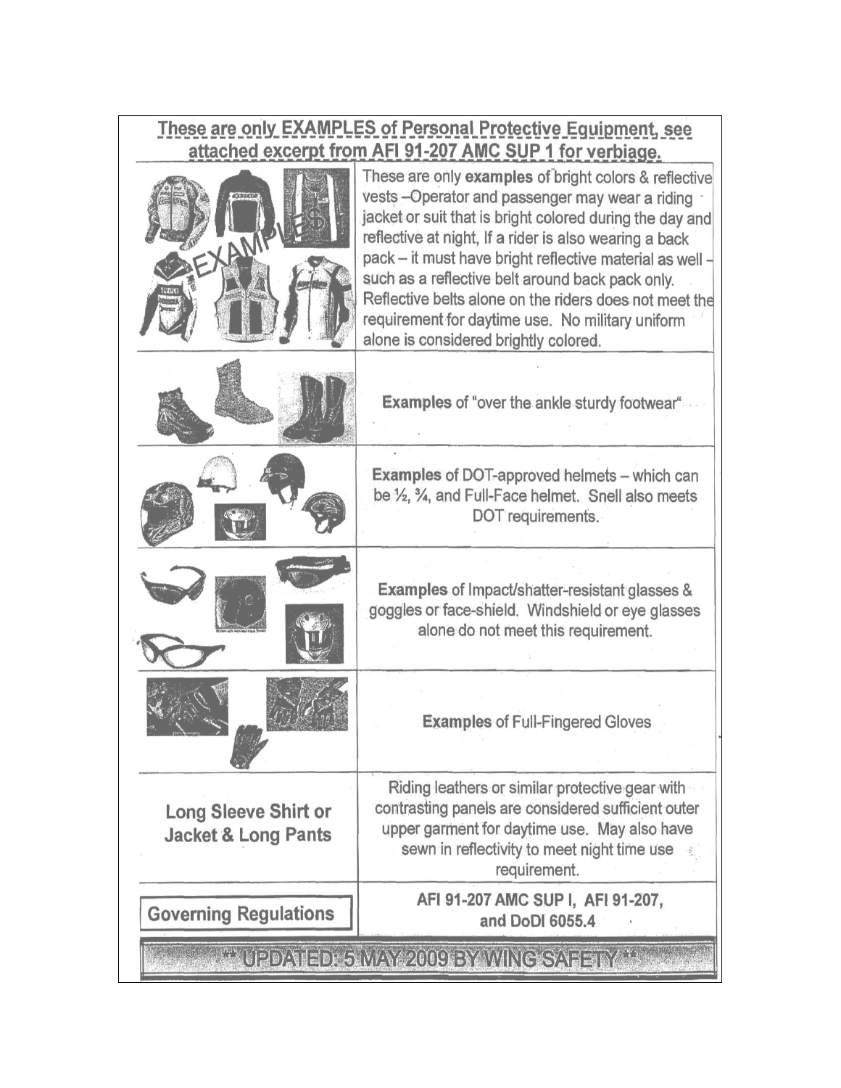# These are only EXAMPLES of Personal Protective Equipment, see<br>attached excerpt from AFI 91-207 AMC SUP 1 for verbiage.

| $=XAN$                                                        | These are only examples of bright colors & reflective<br>vests - Operator and passenger may wear a riding<br>jacket or suit that is bright colored during the day and<br>reflective at night, If a rider is also wearing a back<br>pack - it must have bright reflective material as well -<br>such as a reflective belt around back pack only.<br>Reflective belts alone on the riders does not meet the<br>requirement for daytime use. No military uniform<br>alone is considered brightly colored. |
|---------------------------------------------------------------|--------------------------------------------------------------------------------------------------------------------------------------------------------------------------------------------------------------------------------------------------------------------------------------------------------------------------------------------------------------------------------------------------------------------------------------------------------------------------------------------------------|
|                                                               | <b>Examples of "over the ankle sturdy footwear"</b>                                                                                                                                                                                                                                                                                                                                                                                                                                                    |
|                                                               | <b>Examples of DOT-approved helmets - which can</b><br>be 1/ <sub>2</sub> , 3/ <sub>4</sub> , and Full-Face helmet. Snell also meets<br>DOT requirements.                                                                                                                                                                                                                                                                                                                                              |
|                                                               | <b>Examples of Impact/shatter-resistant glasses &amp;</b><br>goggles or face-shield. Windshield or eye glasses<br>alone do not meet this requirement.                                                                                                                                                                                                                                                                                                                                                  |
|                                                               | <b>Examples of Full-Fingered Gloves</b>                                                                                                                                                                                                                                                                                                                                                                                                                                                                |
| <b>Long Sleeve Shirt or</b><br><b>Jacket &amp; Long Pants</b> | Riding leathers or similar protective gear with<br>contrasting panels are considered sufficient outer<br>upper garment for daytime use. May also have<br>sewn in reflectivity to meet night time use<br>requirement.                                                                                                                                                                                                                                                                                   |
| <b>Governing Regulations</b>                                  | AFI 91-207 AMC SUP I, AFI 91-207,<br>and DoDI 6055.4                                                                                                                                                                                                                                                                                                                                                                                                                                                   |
| e updaied 5 may 2009 by Winc Saeery.                          |                                                                                                                                                                                                                                                                                                                                                                                                                                                                                                        |